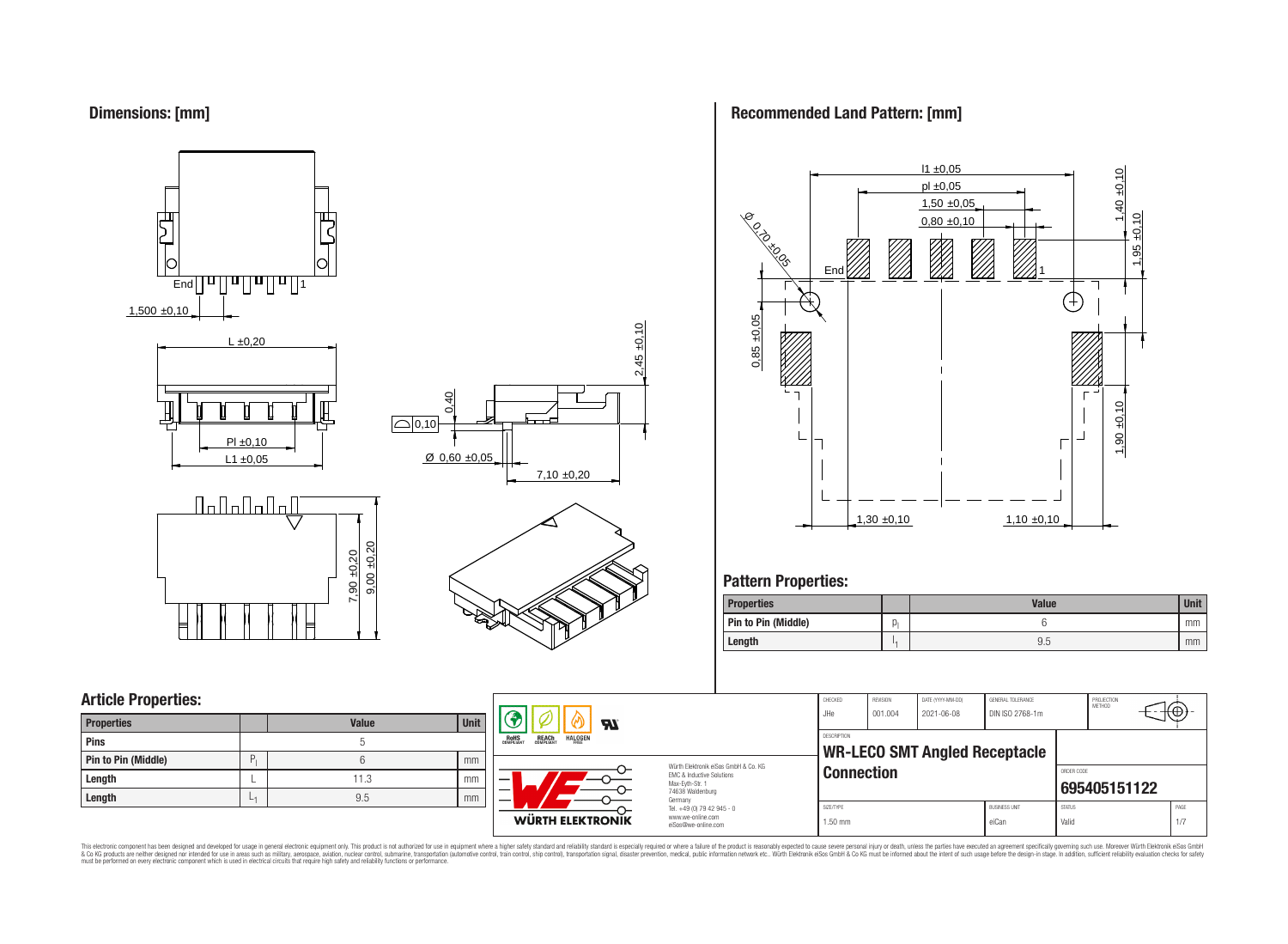### **Dimensions: [mm]**



# **Recommended Land Pattern: [mm]**



# **Pattern Properties:**

| <b>Properties</b>          |    | <b>Value</b> | <b>Unit</b> |
|----------------------------|----|--------------|-------------|
| <b>Pin to Pin (Middle)</b> | Ю. |              | mm          |
| Length                     |    | 9.5          | mm          |

# **Article Properties:**

| <b>Properties</b>   |   | <b>Value</b> | <b>Unit</b> |
|---------------------|---|--------------|-------------|
| Pins                |   | b            |             |
| Pin to Pin (Middle) | P |              | mm          |
| Length              |   | 11.3         | mm          |
| Length              | ∟ | 9.5          | mm          |



**WÜRTH ELEKTRONIK** 

Würth Elektronik eiSos GmbH & Co. KG EMC & Inductive Solutions Max-Eyth-Str. 1 74638 Waldenburg Germany Tel. +49 (0) 79 42 945 - 0 www.we-online.com eiSos@we-online.com

| SIZE/TYPE<br>$1.50$ mm |                            |                                      | <b>BLISINESS LINIT</b><br>eiCan      | <b>STATUS</b><br>Valid |                             | PAGE<br>1/7 |
|------------------------|----------------------------|--------------------------------------|--------------------------------------|------------------------|-----------------------------|-------------|
| <b>Connection</b>      |                            |                                      | ORDER CODE                           | 695405151122           |                             |             |
| <b>DESCRIPTION</b>     |                            | <b>WR-LECO SMT Angled Receptacle</b> |                                      |                        |                             |             |
| CHECKED.<br>JHe.       | <b>REVISION</b><br>001.004 | DAIL (YYYY-MM-DD)<br>2021-06-08      | GENERAL IOLERANCE<br>DIN ISO 2768-1m |                        | PROJECTION<br><b>METHOD</b> |             |

 $\neg \Leftrightarrow$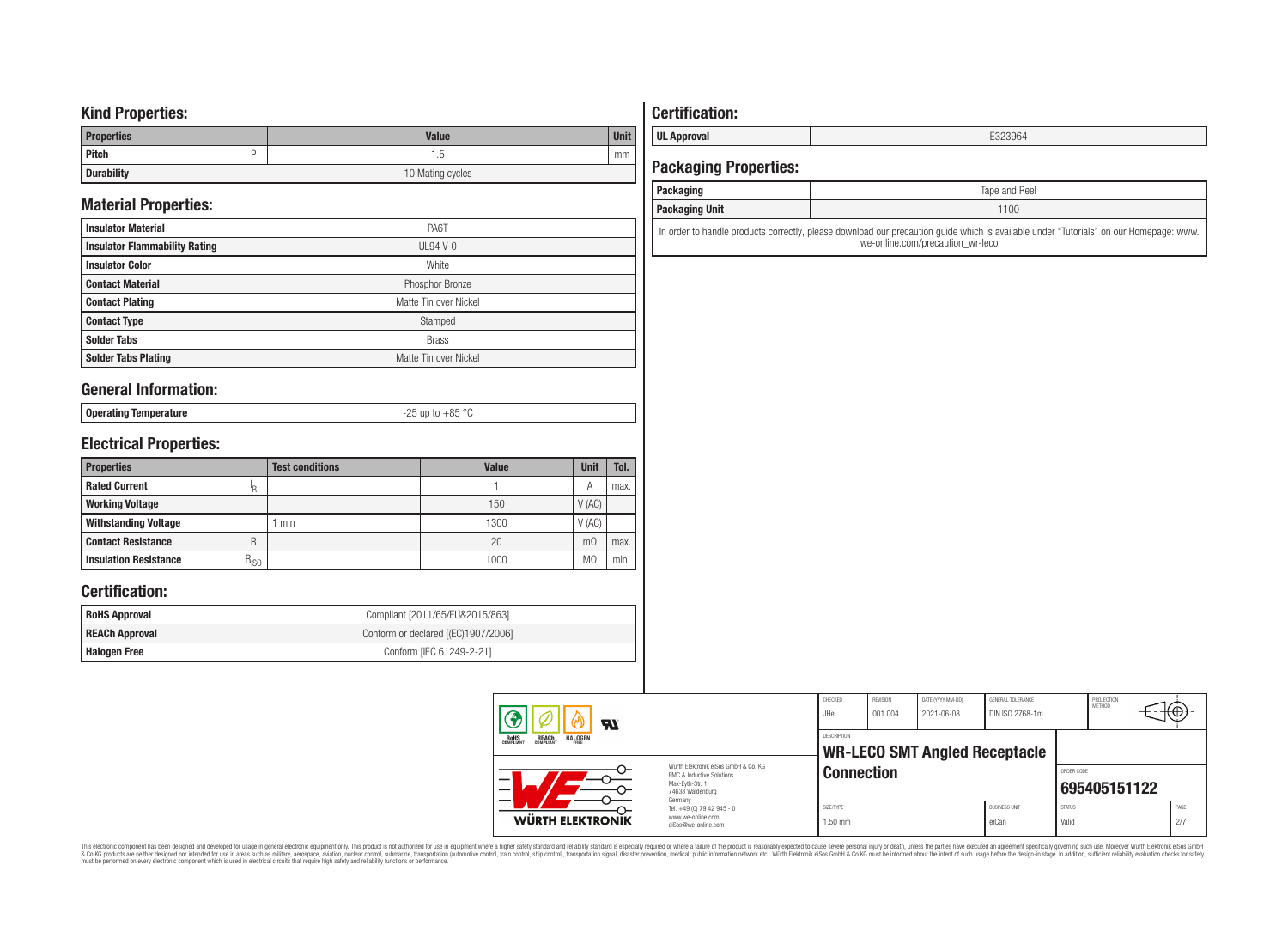### **Kind Properties:**

| <b>Properties</b> | <b>Value</b>     | <b>Unit</b> |  |  |
|-------------------|------------------|-------------|--|--|
| Pitch             | . . 5            | mm          |  |  |
| <b>Durability</b> | 10 Mating cycles |             |  |  |

# **Material Properties:**

| <b>Insulator Material</b>            | PA6T                  |
|--------------------------------------|-----------------------|
| <b>Insulator Flammability Rating</b> | $UL94$ V-0            |
| <b>Insulator Color</b>               | White                 |
| <b>Contact Material</b>              | Phosphor Bronze       |
| <b>Contact Plating</b>               | Matte Tin over Nickel |
| <b>Contact Type</b>                  | Stamped               |
| <b>Solder Tabs</b>                   | <b>Brass</b>          |
| <b>Solder Tabs Plating</b>           | Matte Tin over Nickel |

### **General Information:**

| . Operating Temperature | $\sim$ |
|-------------------------|--------|
| oporamıy                | --     |
|                         |        |

### **Electrical Properties:**

| <b>Properties</b>            |               | <b>Test conditions</b> | <b>Value</b> | <b>Unit</b>    | Tol. |
|------------------------------|---------------|------------------------|--------------|----------------|------|
| <b>Rated Current</b>         | ΙR            |                        |              | A              | max. |
| <b>Working Voltage</b>       |               |                        | 150          | V(AC)          |      |
| <b>Withstanding Voltage</b>  |               | min                    | 1300         | V(AC)          |      |
| <b>Contact Resistance</b>    | R             |                        | 20           | $m\Omega$      | max. |
| <b>Insulation Resistance</b> | $R_{\mid SO}$ |                        | 1000         | M <sub>2</sub> | min. |

### **Certification:**

| <b>RoHS Approval</b>                                  | Compliant [2011/65/EU&2015/863] |  |  |
|-------------------------------------------------------|---------------------------------|--|--|
| Conform or declared [(EC)1907/2006]<br>REACh Approval |                                 |  |  |
| Halogen Free                                          | Conform [IEC 61249-2-21]        |  |  |

# **Certification:**

**UL Approval** E323964

### **Packaging Properties:**

| ------<br>aunayiiiy | <b>Reel</b><br>lape and |
|---------------------|-------------------------|
| Packaging Unit      | 1100                    |
|                     |                         |

In order to handle products correctly, please download our precaution guide which is available under "Tutorials" on our Homepage: www. we-online.com/precaution\_wr-leco

| $\boldsymbol{M}$                                                 |                                                                                                                                | CHECKED<br>JHe                                             | <b>REVISION</b><br>001.004 | DATE (YYYY-MM-DD)<br>2021-06-08 | GENERAL TOLERANCE<br>DIN ISO 2768-1m |                        | PROJECTION<br><b>METHOD</b> |  | т⊕≁-        |
|------------------------------------------------------------------|--------------------------------------------------------------------------------------------------------------------------------|------------------------------------------------------------|----------------------------|---------------------------------|--------------------------------------|------------------------|-----------------------------|--|-------------|
| <b>REACH</b><br>COMPLIANT<br><b>HALOGEN</b><br>ROHS<br>COMPLIANT |                                                                                                                                | <b>DESCRIPTION</b><br><b>WR-LECO SMT Angled Receptacle</b> |                            |                                 |                                      |                        |                             |  |             |
| -                                                                | Würth Elektronik eiSos GmbH & Co. KG<br><b>EMC &amp; Inductive Solutions</b><br>Max-Evth-Str. 1<br>74638 Waldenburg<br>Germany | <b>Connection</b>                                          |                            |                                 |                                      | ORDER CODE             | 695405151122                |  |             |
| WÜRTH ELEKTRONIK                                                 | Tel. +49 (0) 79 42 945 - 0<br>www.we-online.com<br>eiSos@we-online.com                                                         | SIZE/TYPE<br>$1.50$ mm                                     |                            |                                 | <b>BUSINESS UNIT</b><br>eiCan        | <b>STATUS</b><br>Valid |                             |  | PAGE<br>2/7 |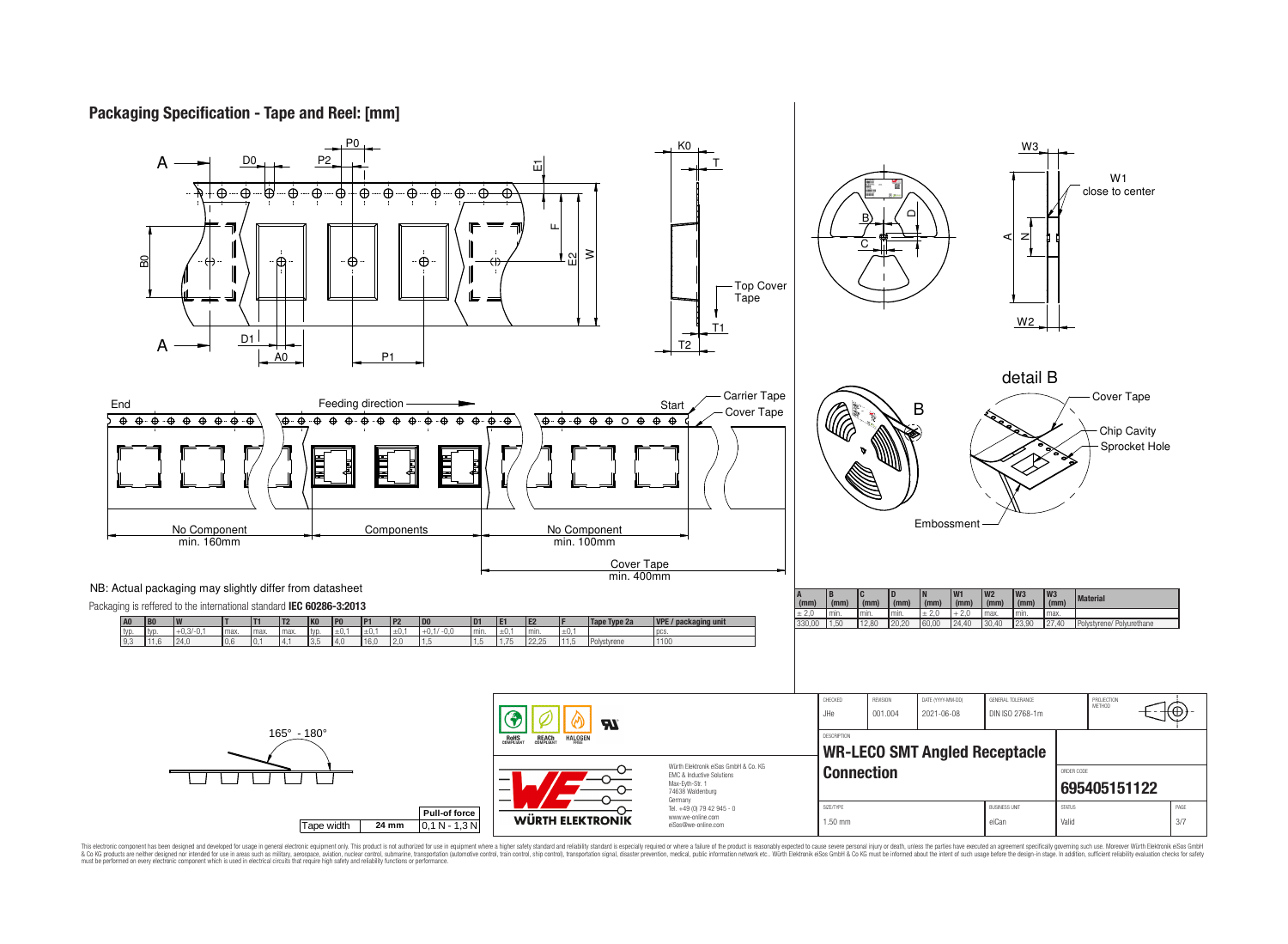**Packaging Specification - Tape and Reel: [mm]**

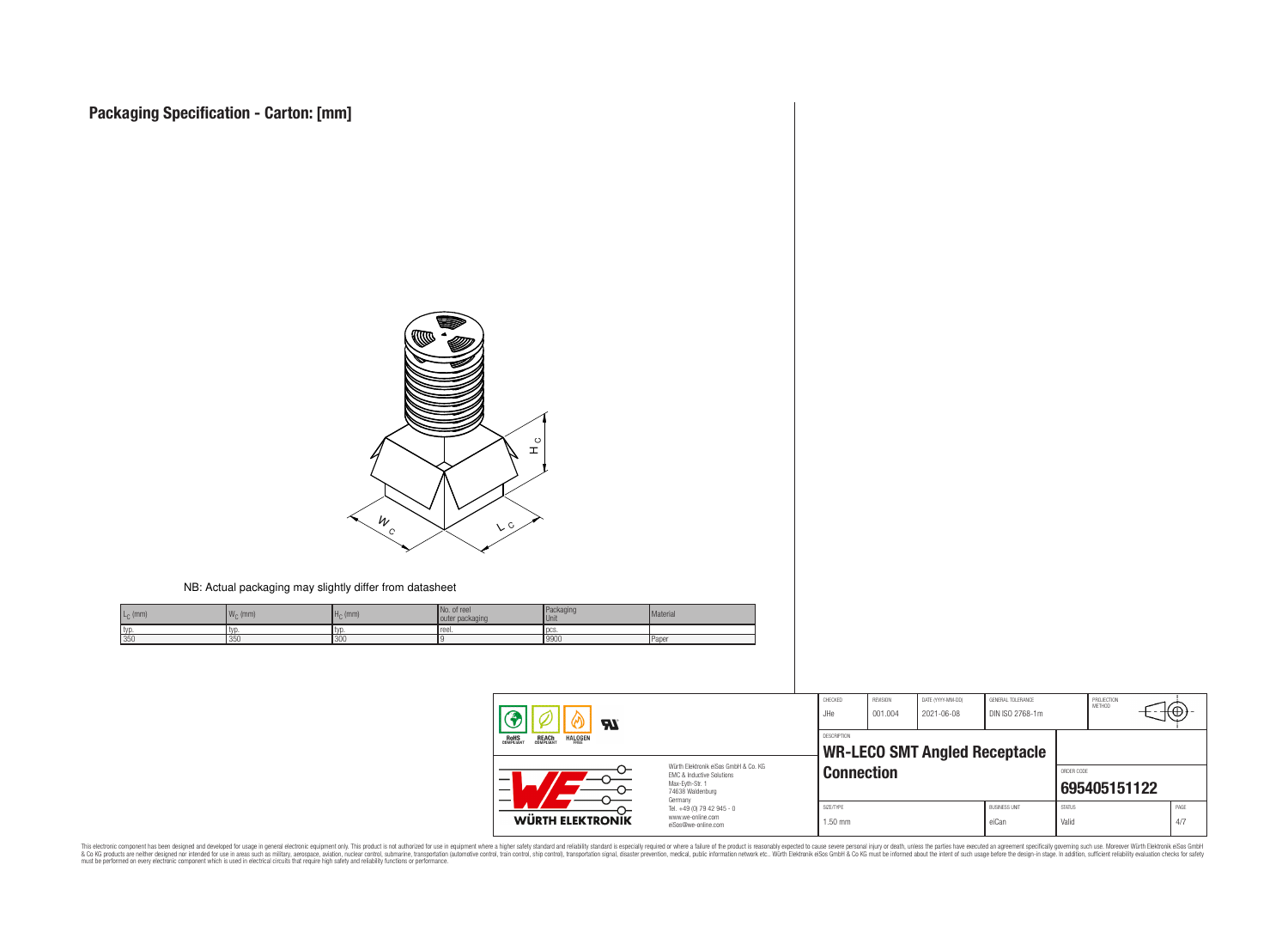$L_{\text{C}}$  (mm)  $\vert W_{\text{C}} \vert$ 

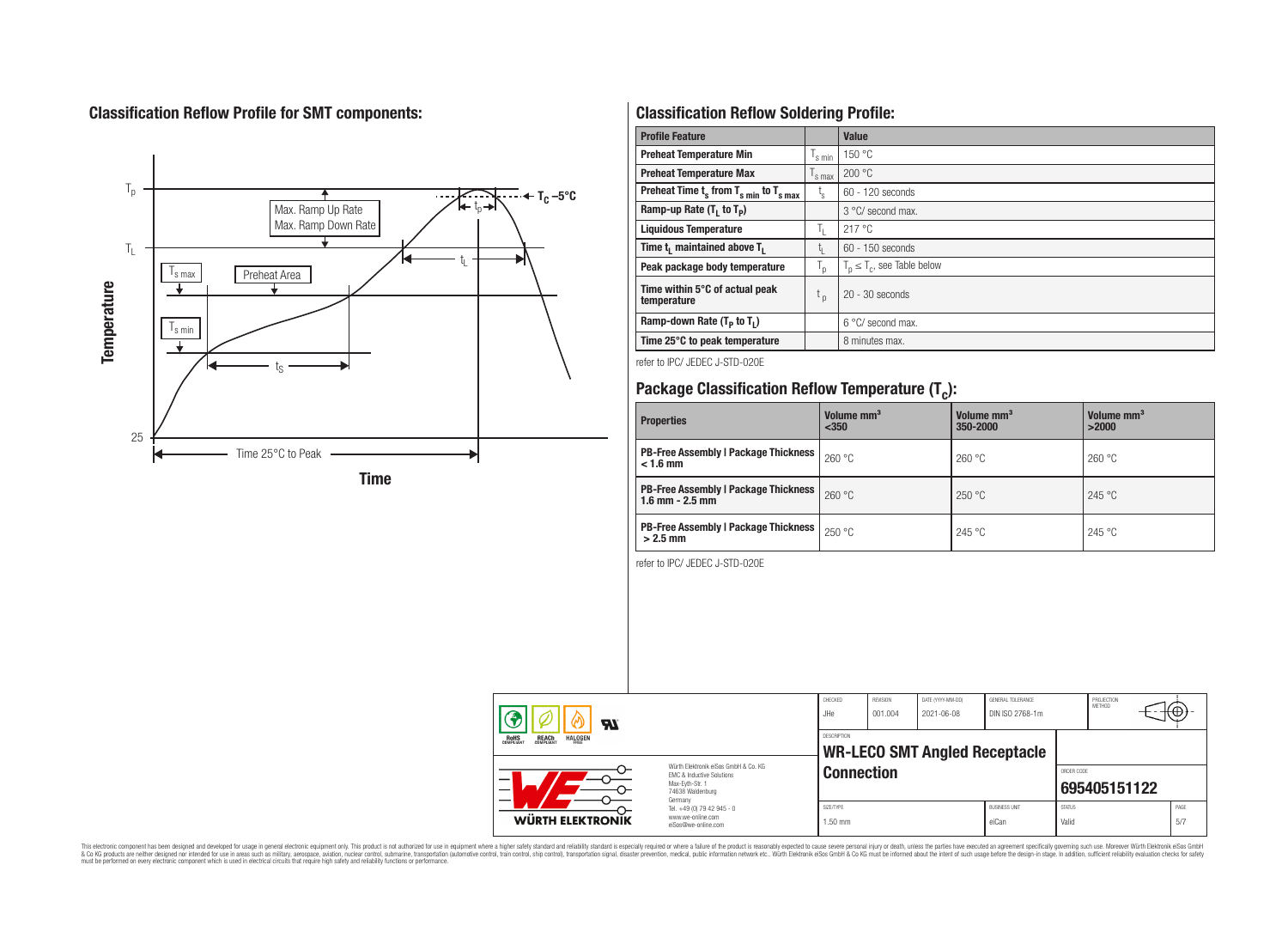# **Classification Reflow Profile for SMT components:**

![](_page_4_Figure_1.jpeg)

# **Classification Reflow Soldering Profile:**

| <b>Profile Feature</b>                              |                           | Value                            |
|-----------------------------------------------------|---------------------------|----------------------------------|
| <b>Preheat Temperature Min</b>                      | s min                     | 150 °C                           |
| <b>Preheat Temperature Max</b>                      | <sup>I</sup> s max        | 200 °C                           |
| Preheat Time $t_s$ from $T_{s,min}$ to $T_{s,max}$  | $t_{\rm s}$               | $60 - 120$ seconds               |
| Ramp-up Rate $(T_1$ to $T_p$ )                      |                           | 3 °C/ second max.                |
| <b>Liquidous Temperature</b>                        | Ъ.                        | 217°C                            |
| Time t <sub>1</sub> maintained above T <sub>1</sub> | t,                        | $60 - 150$ seconds               |
| Peak package body temperature                       | $\mathsf{I}_{\mathsf{D}}$ | $T_p \leq T_c$ , see Table below |
| Time within 5°C of actual peak<br>temperature       | t <sub>p</sub>            | $20 - 30$ seconds                |
| Ramp-down Rate $(T_p$ to $T_1$ )                    |                           | 6 °C/ second max.                |
| Time 25°C to peak temperature                       |                           | 8 minutes max.                   |

refer to IPC/ JEDEC J-STD-020E

# **Package Classification Reflow Temperature (T<sup>c</sup> ):**

| <b>Properties</b>                                                    | Volume mm <sup>3</sup><br>$350$ | Volume mm <sup>3</sup><br>350-2000 | Volume mm <sup>3</sup><br>>2000 |  |
|----------------------------------------------------------------------|---------------------------------|------------------------------------|---------------------------------|--|
| <b>PB-Free Assembly   Package Thickness  </b><br>$< 1.6$ mm          | 260 °C                          | 260 °C                             | 260 °C                          |  |
| <b>PB-Free Assembly   Package Thickness  </b><br>$1.6$ mm $- 2.5$ mm | 260 °C                          | 250 °C                             | 245 °C                          |  |
| <b>PB-Free Assembly   Package Thickness  </b><br>$>2.5$ mm           | 250 °C                          | 245 °C                             | 245 °C                          |  |

refer to IPC/ JEDEC J-STD-020E

| $\boldsymbol{H}$                                                                                                              |                                                                                   | CHECKED<br>JHe       | <b>REVISION</b><br>DATE (YYYY-MM-DD)<br>001.004<br>2021-06-08 |                                      | GENERAL TOLERANCE<br>DIN ISO 2768-1m | PROJECTION<br>METHOD   |                            | ₩Ψ          |  |
|-------------------------------------------------------------------------------------------------------------------------------|-----------------------------------------------------------------------------------|----------------------|---------------------------------------------------------------|--------------------------------------|--------------------------------------|------------------------|----------------------------|-------------|--|
| <b>HALOGEN</b><br>REACH<br>COMPLIANT<br>ROHS<br>COMPLIANT<br>FRFF                                                             |                                                                                   |                      |                                                               | <b>WR-LECO SMT Angled Receptacle</b> |                                      |                        |                            |             |  |
| Würth Flektronik eiSos GmbH & Co. KG<br><b>EMC &amp; Inductive Solutions</b><br>—<br>Max-Evth-Str. 1<br>—<br>74638 Waldenburg |                                                                                   |                      | <b>Connection</b>                                             |                                      |                                      |                        | ORDER CODE<br>695405151122 |             |  |
| <b>WÜRTH ELEKTRONIK</b>                                                                                                       | Germany<br>Tel. +49 (0) 79 42 945 - 0<br>www.we-online.com<br>eiSos@we-online.com | SIZE/TYPE<br>1.50 mm |                                                               |                                      | <b>BUSINESS UNIT</b><br>eiCan        | <b>STATUS</b><br>Valid |                            | PAGE<br>5/7 |  |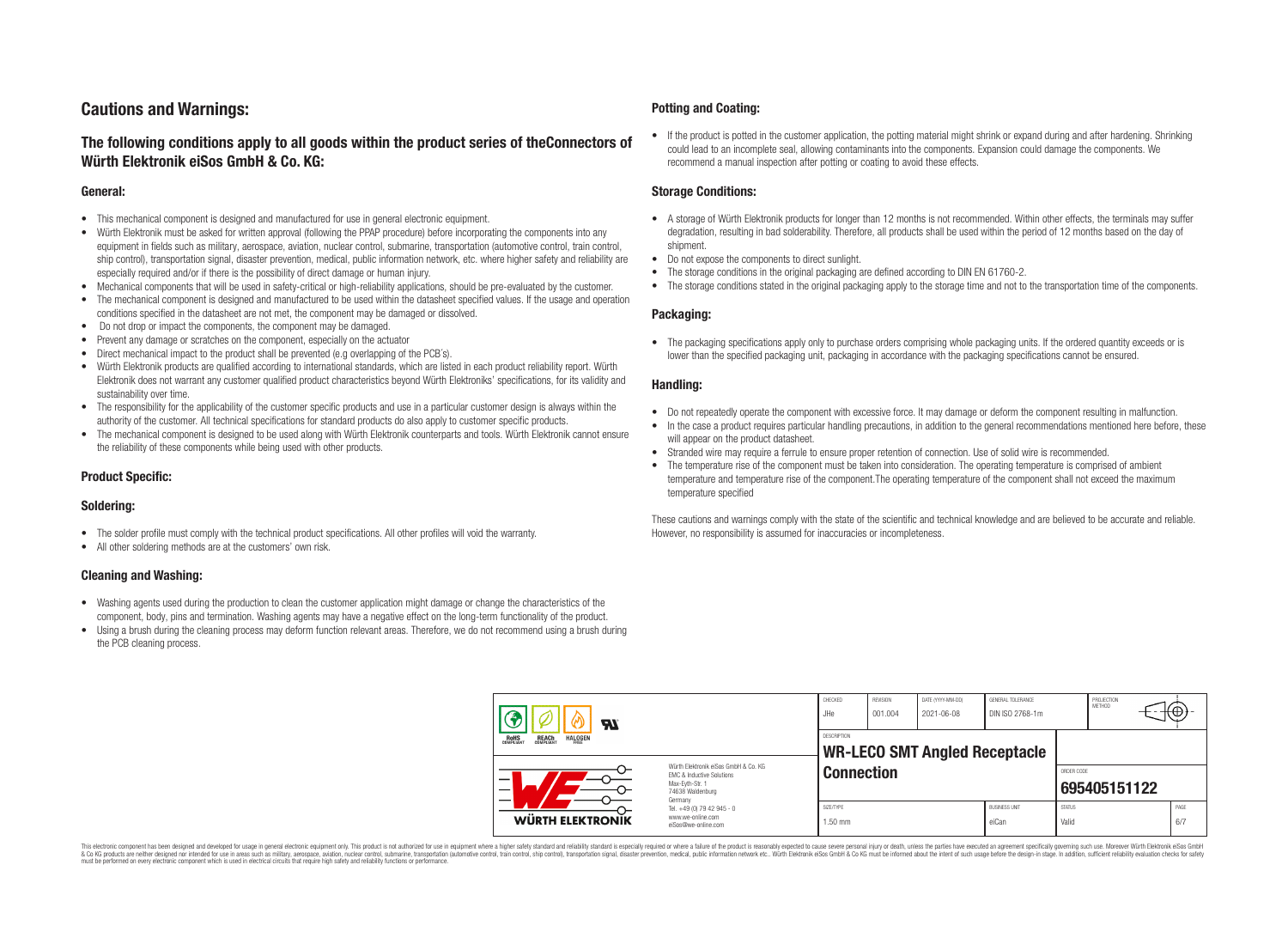## **Cautions and Warnings:**

### **The following conditions apply to all goods within the product series of theConnectors of Würth Elektronik eiSos GmbH & Co. KG:**

#### **General:**

- This mechanical component is designed and manufactured for use in general electronic equipment.
- Würth Elektronik must be asked for written approval (following the PPAP procedure) before incorporating the components into any equipment in fields such as military, aerospace, aviation, nuclear control, submarine, transportation (automotive control, train control, ship control), transportation signal, disaster prevention, medical, public information network, etc. where higher safety and reliability are especially required and/or if there is the possibility of direct damage or human injury.
- Mechanical components that will be used in safety-critical or high-reliability applications, should be pre-evaluated by the customer.
- The mechanical component is designed and manufactured to be used within the datasheet specified values. If the usage and operation conditions specified in the datasheet are not met, the component may be damaged or dissolved.
- Do not drop or impact the components, the component may be damaged.
- Prevent any damage or scratches on the component, especially on the actuator
- Direct mechanical impact to the product shall be prevented (e.g overlapping of the PCB's).
- Würth Elektronik products are qualified according to international standards, which are listed in each product reliability report. Würth Elektronik does not warrant any customer qualified product characteristics beyond Würth Elektroniks' specifications, for its validity and sustainability over time.
- The responsibility for the applicability of the customer specific products and use in a particular customer design is always within the authority of the customer. All technical specifications for standard products do also apply to customer specific products.
- The mechanical component is designed to be used along with Würth Elektronik counterparts and tools. Würth Elektronik cannot ensure the reliability of these components while being used with other products.

#### **Product Specific:**

#### **Soldering:**

- The solder profile must comply with the technical product specifications. All other profiles will void the warranty.
- All other soldering methods are at the customers' own risk.

#### **Cleaning and Washing:**

- Washing agents used during the production to clean the customer application might damage or change the characteristics of the component, body, pins and termination. Washing agents may have a negative effect on the long-term functionality of the product.
- Using a brush during the cleaning process may deform function relevant areas. Therefore, we do not recommend using a brush during the PCB cleaning process.

#### **Potting and Coating:**

• If the product is potted in the customer application, the potting material might shrink or expand during and after hardening. Shrinking could lead to an incomplete seal, allowing contaminants into the components. Expansion could damage the components. We recommend a manual inspection after potting or coating to avoid these effects.

#### **Storage Conditions:**

- A storage of Würth Elektronik products for longer than 12 months is not recommended. Within other effects, the terminals may suffer degradation, resulting in bad solderability. Therefore, all products shall be used within the period of 12 months based on the day of shipment.
- Do not expose the components to direct sunlight.
- The storage conditions in the original packaging are defined according to DIN EN 61760-2.
- The storage conditions stated in the original packaging apply to the storage time and not to the transportation time of the components.

#### **Packaging:**

• The packaging specifications apply only to purchase orders comprising whole packaging units. If the ordered quantity exceeds or is lower than the specified packaging unit, packaging in accordance with the packaging specifications cannot be ensured.

#### **Handling:**

- Do not repeatedly operate the component with excessive force. It may damage or deform the component resulting in malfunction.
- In the case a product requires particular handling precautions, in addition to the general recommendations mentioned here before, these will appear on the product datasheet
- Stranded wire may require a ferrule to ensure proper retention of connection. Use of solid wire is recommended.
- The temperature rise of the component must be taken into consideration. The operating temperature is comprised of ambient temperature and temperature rise of the component.The operating temperature of the component shall not exceed the maximum temperature specified

These cautions and warnings comply with the state of the scientific and technical knowledge and are believed to be accurate and reliable. However, no responsibility is assumed for inaccuracies or incompleteness.

| $\boldsymbol{w}$<br><b>REACH</b><br>COMPLIANT<br><b>HALOGEN</b><br>ROHS<br>COMPLIANT<br>Würth Flektronik eiSos GmbH & Co. KG<br><b>EMC &amp; Inductive Solutions</b><br>Max-Eyth-Str. 1<br>74638 Waldenburg<br>Germany |                  | CHECKED<br>.JHe                                                        | REVISION<br>001.004    | DATE (YYYY-MM-DD)<br>2021-06-08 | GENERAL TOLERANCE<br>DIN ISO 2768-1m |                               | PROJECTION<br>METHOD       | ₩ |  |             |
|------------------------------------------------------------------------------------------------------------------------------------------------------------------------------------------------------------------------|------------------|------------------------------------------------------------------------|------------------------|---------------------------------|--------------------------------------|-------------------------------|----------------------------|---|--|-------------|
|                                                                                                                                                                                                                        |                  | <b>DESCRIPTION</b><br><b>WR-LECO SMT Angled Receptacle</b>             |                        |                                 |                                      |                               |                            |   |  |             |
|                                                                                                                                                                                                                        |                  | <b>Connection</b>                                                      |                        |                                 |                                      |                               | ORDER CODE<br>695405151122 |   |  |             |
|                                                                                                                                                                                                                        | WÜRTH ELEKTRONIK | Tel. +49 (0) 79 42 945 - 0<br>www.we-online.com<br>eiSos@we-online.com | SIZE/TYPE<br>$1.50$ mm |                                 |                                      | <b>BUSINESS UNIT</b><br>eiCan | <b>STATUS</b><br>Valid     |   |  | PAGE<br>6/7 |

This electronic component has been designed and developed for usage in general electronic equipment only. This product is not authorized for use in equipment where a higher safety standard and reliability standard si espec & Ook product a label and the membed of the seasuch as marked and as which such a membed and the such assume that income in the seasuch and the simulation and the such assume that include to the such a membed and the such